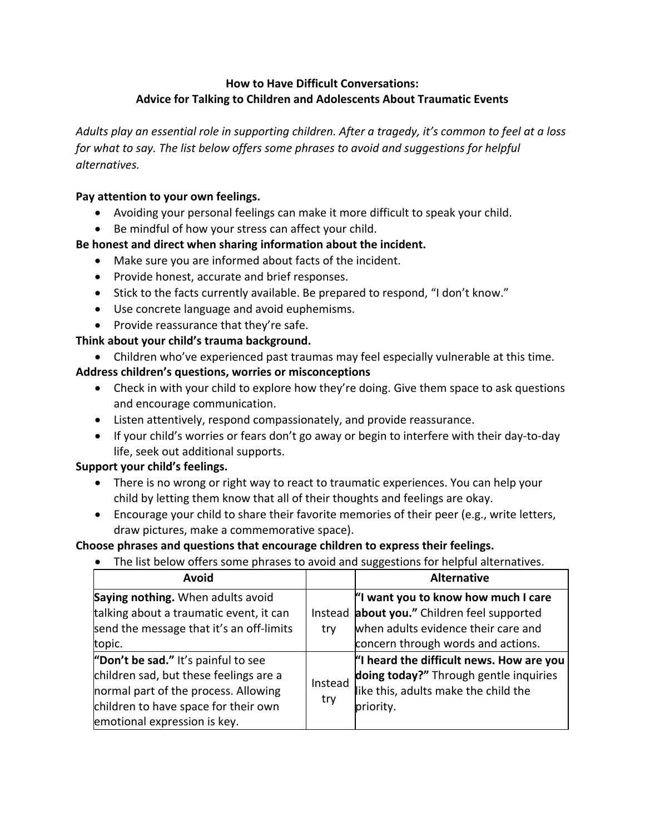### **How to Have Difficult Conversations: Advice for Talking to Children and Adolescents About Traumatic Events**

*Adults play an essential role in supporting children. After a tragedy, it's common to feel at a loss for what to say. The list below offers some phrases to avoid and suggestions for helpful alternatives.*

### **Pay attention to your own feelings.**

- Avoiding your personal feelings can make it more difficult to speak your child.
- Be mindful of how your stress can affect your child.

## **Be honest and direct when sharing information about the incident.**

- Make sure you are informed about facts of the incident.
- Provide honest, accurate and brief responses.
- Stick to the facts currently available. Be prepared to respond, "I don't know."
- Use concrete language and avoid euphemisms.
- Provide reassurance that they're safe.

# **Think about your child's trauma background.**

• Children who've experienced past traumas may feel especially vulnerable at this time.

## **Address children's questions, worries or misconceptions**

- Check in with your child to explore how they're doing. Give them space to ask questions and encourage communication.
- Listen attentively, respond compassionately, and provide reassurance.
- If your child's worries or fears don't go away or begin to interfere with their day-to-day life, seek out additional supports.

### **Support your child's feelings.**

- There is no wrong or right way to react to traumatic experiences. You can help your child by letting them know that all of their thoughts and feelings are okay.
- Encourage your child to share their favorite memories of their peer (e.g., write letters, draw pictures, make a commemorative space).

### **Choose phrases and questions that encourage children to express their feelings.**

• The list below offers some phrases to avoid and suggestions for helpful alternatives.

| <b>Avoid</b>                                                                                                                                                                                  |                | <b>Alternative</b>                                                                                                                                      |
|-----------------------------------------------------------------------------------------------------------------------------------------------------------------------------------------------|----------------|---------------------------------------------------------------------------------------------------------------------------------------------------------|
| Saying nothing. When adults avoid<br>talking about a traumatic event, it can<br>send the message that it's an off-limits<br>topic.                                                            | Instead<br>try | "I want you to know how much I care<br>about you." Children feel supported<br>when adults evidence their care and<br>concern through words and actions. |
| "Don't be sad." It's painful to see<br>children sad, but these feelings are a<br>normal part of the process. Allowing<br>children to have space for their own<br>emotional expression is key. | Instead<br>try | "I heard the difficult news. How are you<br>doing today?" Through gentle inquiries<br>like this, adults make the child the<br>priority.                 |